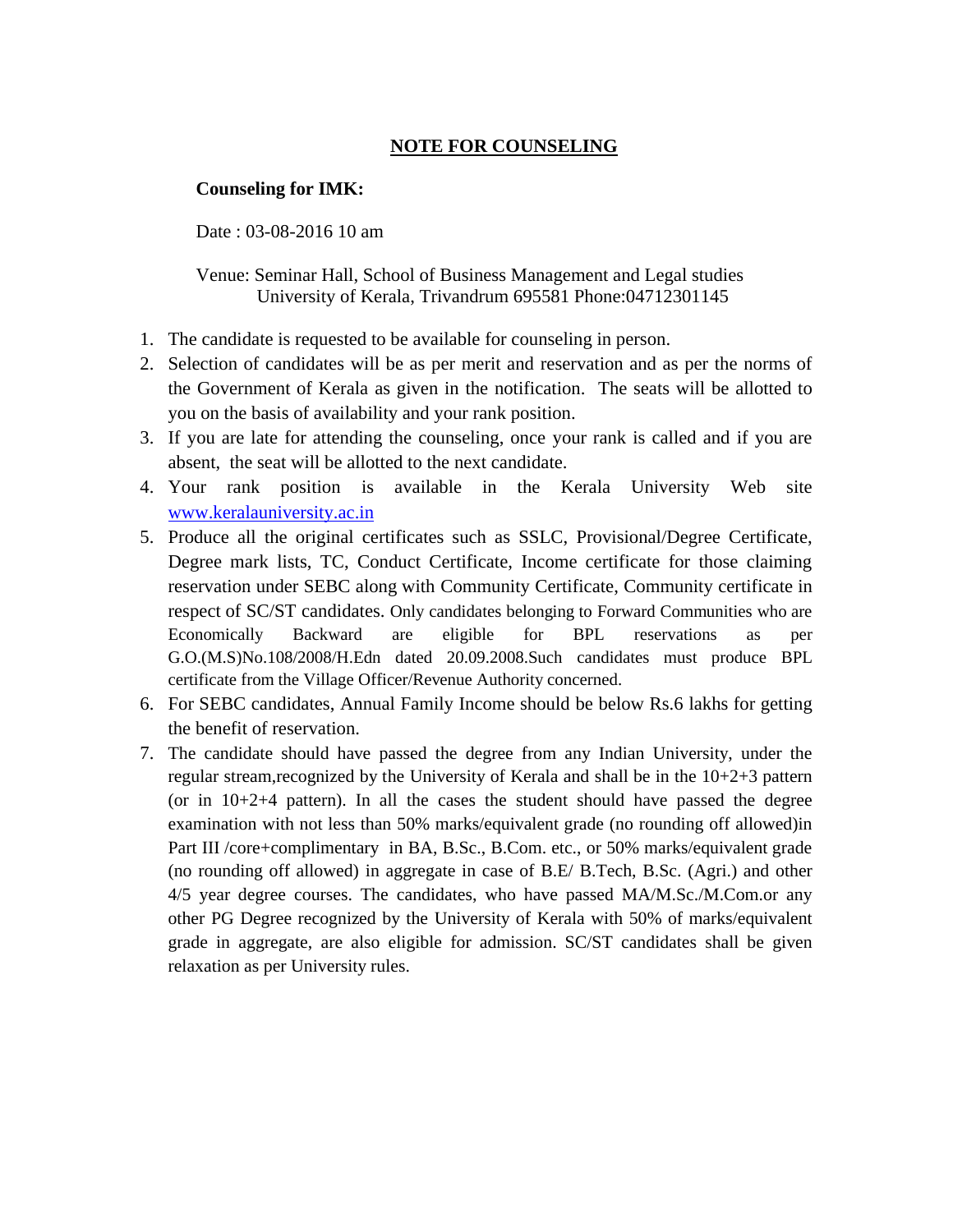## **NOTE FOR COUNSELING**

## **Counseling for IMK:**

Date : 03-08-2016 10 am

Venue: Seminar Hall, School of Business Management and Legal studies University of Kerala, Trivandrum 695581 Phone:04712301145

- 1. The candidate is requested to be available for counseling in person.
- 2. Selection of candidates will be as per merit and reservation and as per the norms of the Government of Kerala as given in the notification. The seats will be allotted to you on the basis of availability and your rank position.
- 3. If you are late for attending the counseling, once your rank is called and if you are absent, the seat will be allotted to the next candidate.
- 4. Your rank position is available in the Kerala University Web site [www.keralauniversity.ac.in](http://www.keralauniversity.ac.in/)
- 5. Produce all the original certificates such as SSLC, Provisional/Degree Certificate, Degree mark lists, TC, Conduct Certificate, Income certificate for those claiming reservation under SEBC along with Community Certificate, Community certificate in respect of SC/ST candidates. Only candidates belonging to Forward Communities who are Economically Backward are eligible for BPL reservations as per G.O.(M.S)No.108/2008/H.Edn dated 20.09.2008.Such candidates must produce BPL certificate from the Village Officer/Revenue Authority concerned.
- 6. For SEBC candidates, Annual Family Income should be below Rs.6 lakhs for getting the benefit of reservation.
- 7. The candidate should have passed the degree from any Indian University, under the regular stream, recognized by the University of Kerala and shall be in the  $10+2+3$  pattern (or in  $10+2+4$  pattern). In all the cases the student should have passed the degree examination with not less than 50% marks/equivalent grade (no rounding off allowed)in Part III /core+complimentary in BA, B.Sc., B.Com. etc., or 50% marks/equivalent grade (no rounding off allowed) in aggregate in case of B.E/ B.Tech, B.Sc. (Agri.) and other 4/5 year degree courses. The candidates, who have passed MA/M.Sc./M.Com.or any other PG Degree recognized by the University of Kerala with 50% of marks/equivalent grade in aggregate, are also eligible for admission. SC/ST candidates shall be given relaxation as per University rules.